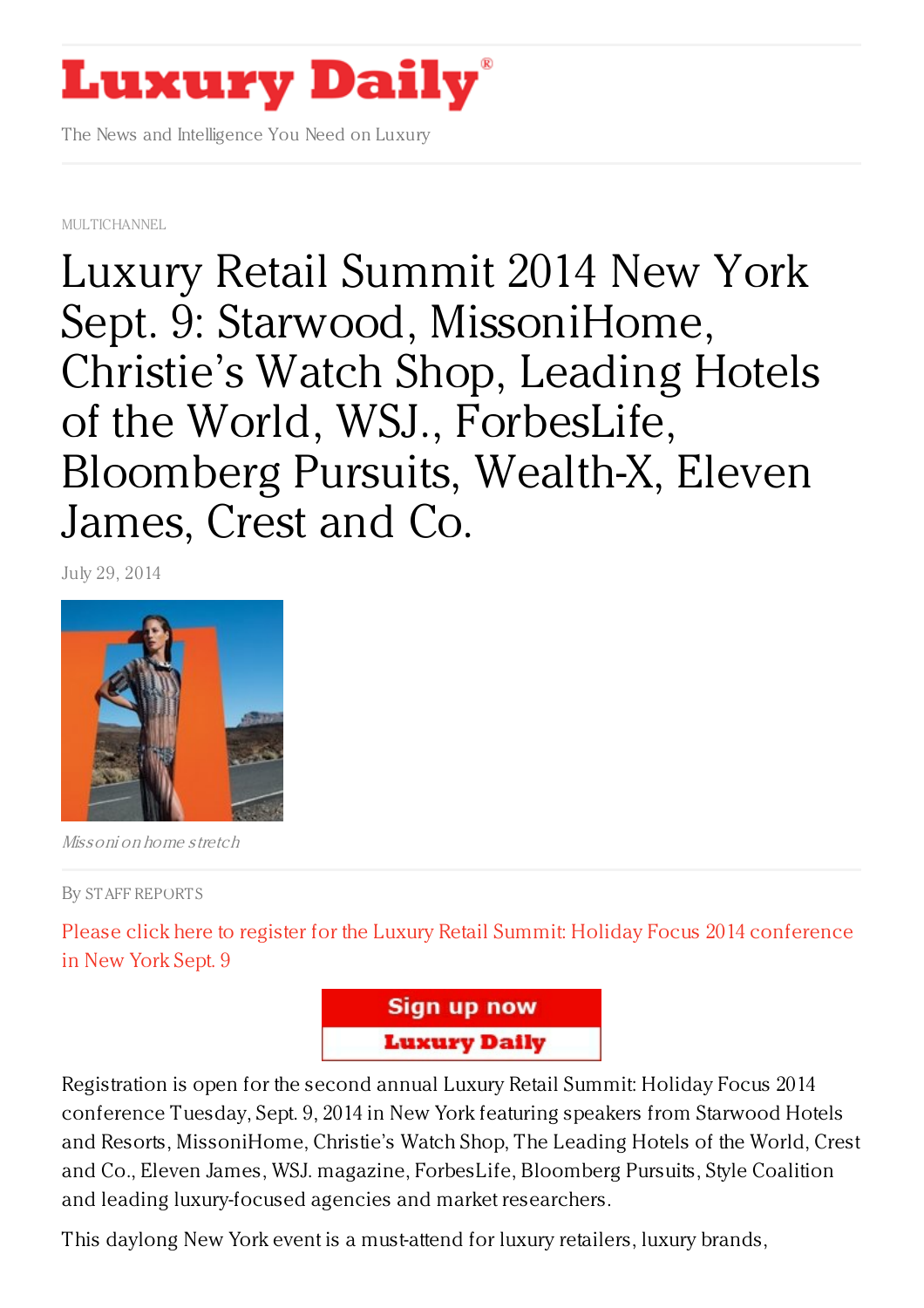## **Luxury Daily**

The News and Intelligence You Need on Luxury

[MULTICHANNEL](https://www.luxurydaily.com/category/news/multichannel/)

Luxury Retail Summit 2014 New York Sept. 9: Starwood, [MissoniHome,](https://www.luxurydaily.com/luxury-retail-summit-2014-new-york-sept-9-starwood-missonihome-christies-watch-shop-leading-hotels-of-the-world-wsj-forbeslife-bloomberg-pursuits-wealth-x-eleven-james-crest-and-c/) Christie's Watch Shop, Leading Hotels of the World, WSJ., ForbesLife, Bloomberg Pursuits, Wealth-X, Eleven James, Crest and Co.

July 29, 2014



Missoni on home stretch

By STAFF [REPORT](/author/staff-reports) S

Please click here to register for the Luxury Retail Summit: Holiday Focus 2014 [conference](https://www.luxurydaily.com/conference-page/) in New York Sept. 9



Registration is open for the second annual Luxury Retail Summit: Holiday Focus 2014 conference Tuesday, Sept. 9, 2014 in New York featuring speakers from Starwood Hotels and Resorts, MissoniHome, Christie's Watch Shop, The Leading Hotels of the World, Crest and Co., Eleven James, WSJ. magazine, ForbesLife, Bloomberg Pursuits, Style Coalition and leading luxury-focused agencies and market researchers.

This daylong New York event is a must-attend for luxury retailers, luxury brands,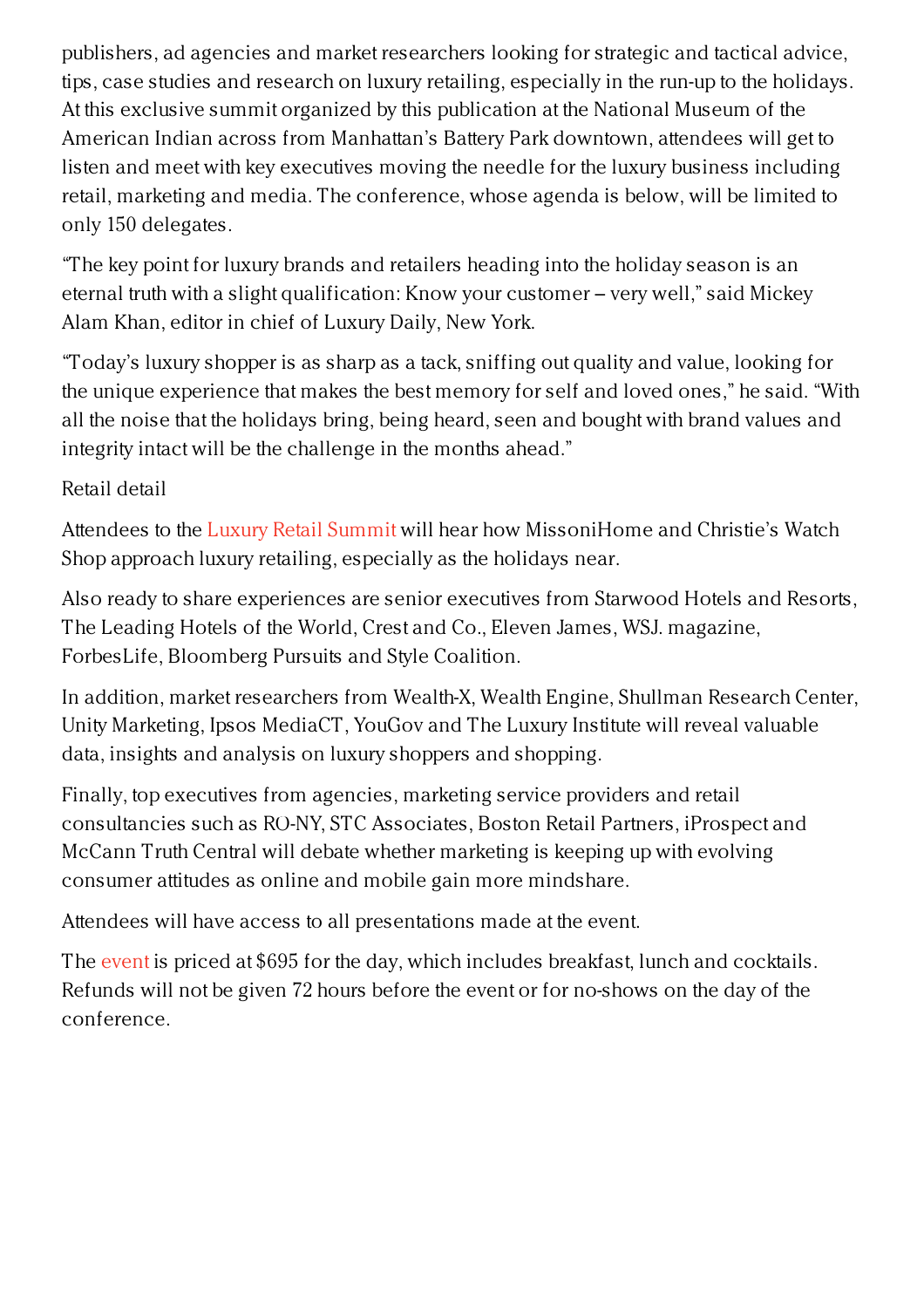publishers, ad agencies and market researchers looking for strategic and tactical advice, tips, case studies and research on luxury retailing, especially in the run-up to the holidays. At this exclusive summit organized by this publication at the National Museum of the American Indian across from Manhattan's Battery Park downtown, attendees will get to listen and meet with key executives moving the needle for the luxury business including retail, marketing and media. The conference, whose agenda is below, will be limited to only 150 delegates.

"The key point for luxury brands and retailers heading into the holiday season is an eternal truth with a slight qualification: Know your customer – very well," said Mickey Alam Khan, editor in chief of Luxury Daily, New York.

"Today's luxury shopper is as sharp as a tack, sniffing out quality and value, looking for the unique experience that makes the best memory for self and loved ones," he said. "With all the noise that the holidays bring, being heard, seen and bought with brand values and integrity intact will be the challenge in the months ahead."

Retail detail

Attendees to the Luxury Retail [Summit](https://www.luxurydaily.com/conference-page/) will hear how MissoniHome and Christie's Watch Shop approach luxury retailing, especially as the holidays near.

Also ready to share experiences are senior executives from Starwood Hotels and Resorts, The Leading Hotels of the World, Crest and Co., Eleven James, WSJ. magazine, ForbesLife, Bloomberg Pursuits and Style Coalition.

In addition, market researchers from Wealth-X, Wealth Engine, Shullman Research Center, Unity Marketing, Ipsos MediaCT, YouGov and The Luxury Institute will reveal valuable data, insights and analysis on luxury shoppers and shopping.

Finally, top executives from agencies, marketing service providers and retail consultancies such as RO-NY, STC Associates, Boston Retail Partners, iProspect and McCann Truth Central will debate whether marketing is keeping up with evolving consumer attitudes as online and mobile gain more mindshare.

Attendees will have access to all presentations made at the event.

The [event](https://www.luxurydaily.com/conference-page/) is priced at \$695 for the day, which includes breakfast, lunch and cocktails. Refunds will not be given 72 hours before the event or for no-shows on the day of the conference.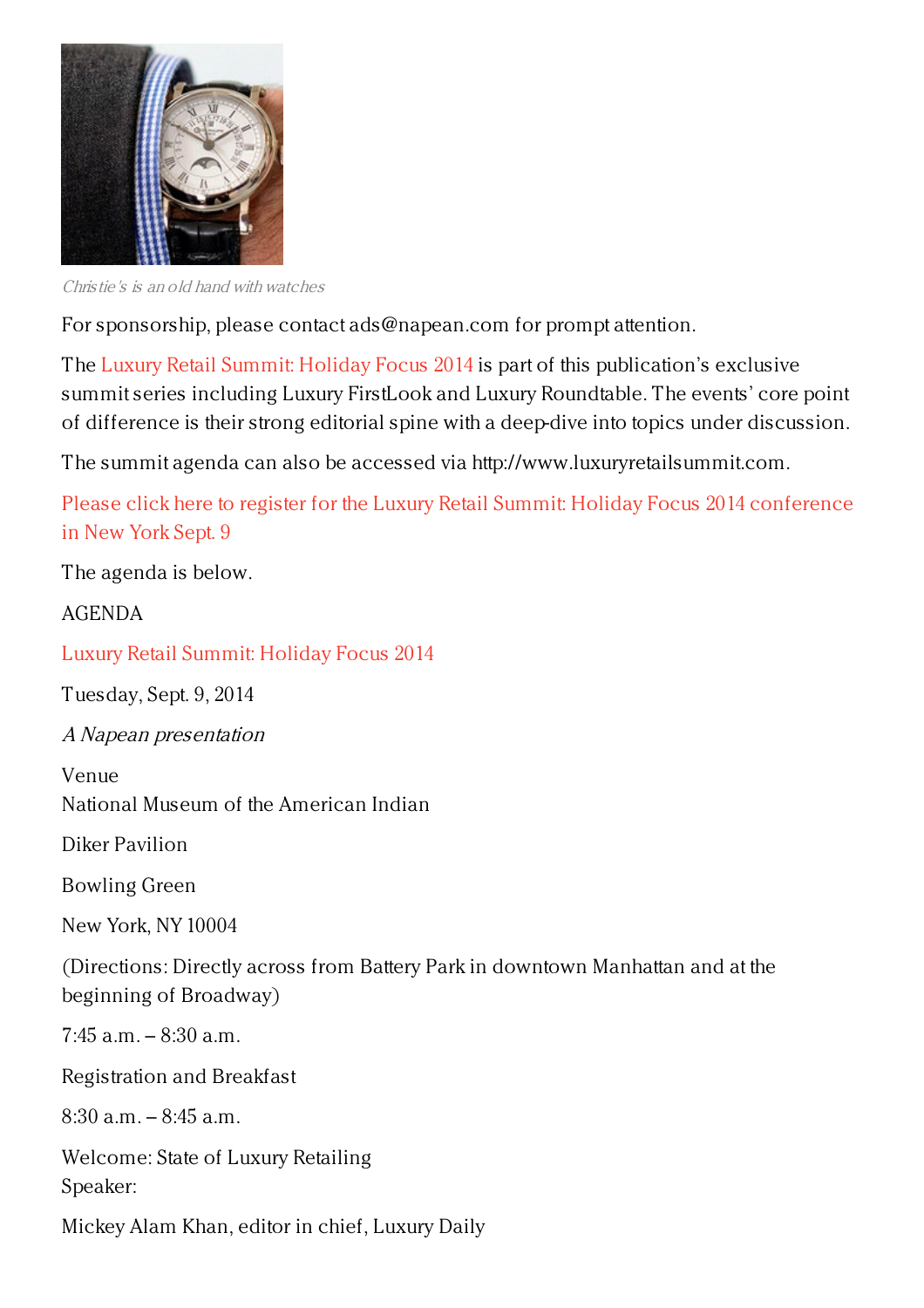

Christie's is an old hand with watches

For sponsorship, please contact ads@napean.com for prompt attention.

The Luxury Retail [Summit:](https://www.luxurydaily.com/conference-page/) Holiday Focus 2014 is part of this publication's exclusive summit series including Luxury FirstLook and Luxury Roundtable. The events' core point of difference is their strong editorial spine with a deep-dive into topics under discussion.

The summit agenda can also be accessed via http://www.luxuryretailsummit.com.

Please click here to register for the Luxury Retail Summit: Holiday Focus 2014 [conference](https://www.luxurydaily.com/conference-page/) in New York Sept. 9

The agenda is below.

AGENDA

Luxury Retail [Summit:](https://www.luxurydaily.com/conference-page/) Holiday Focus 2014

Tuesday, Sept. 9, 2014

A Napean presentation

Venue National Museum of the American Indian

Diker Pavilion

Bowling Green

New York, NY 10004

(Directions: Directly across from Battery Park in downtown Manhattan and at the beginning of Broadway)

 $7:45$  a.m.  $-8:30$  a.m.

Registration and Breakfast

 $8:30$  a.m.  $-8:45$  a.m.

Welcome: State of Luxury Retailing Speaker:

Mickey Alam Khan, editor in chief, Luxury Daily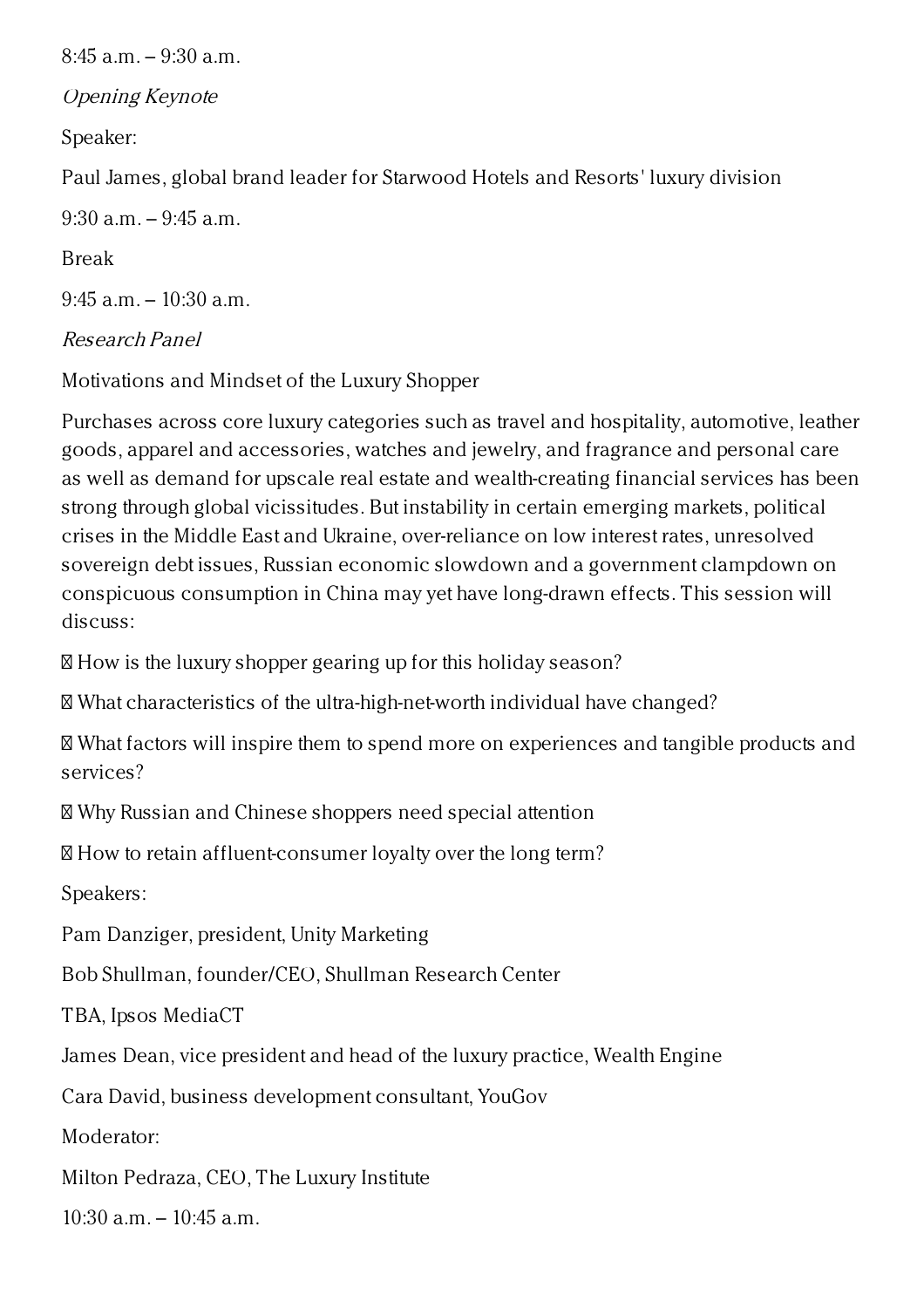$8:45$  a.m.  $-9:30$  a.m. Opening Keynote Speaker: Paul James, global brand leader for Starwood Hotels and Resorts' luxury division  $9:30$  a.m.  $-9:45$  a.m. Break 9:45 a.m. – 10:30 a.m.

## Research Panel

Motivations and Mindset of the Luxury Shopper

Purchases across core luxury categories such as travel and hospitality, automotive, leather goods, apparel and accessories, watches and jewelry, and fragrance and personal care as well as demand for upscale real estate and wealth-creating financial services has been strong through global vicissitudes. But instability in certain emerging markets, political crises in the Middle East and Ukraine, over-reliance on low interest rates, unresolved sovereign debt issues, Russian economic slowdown and a government clampdown on conspicuous consumption in China may yet have long-drawn effects. This session will discuss:

 $\mathbb B$  How is the luxury shopper gearing up for this holiday season?

What characteristics of the ultra-high-net-worth individual have changed?

 What factors will inspire them to spend more on experiences and tangible products and services?

Why Russian and Chinese shoppers need special attention

How to retain affluent-consumer loyalty over the long term?

Speakers:

Pam Danziger, president, Unity Marketing

Bob Shullman, founder/CEO, Shullman Research Center

TBA, Ipsos MediaCT

James Dean, vice president and head of the luxury practice, Wealth Engine

Cara David, business development consultant, YouGov

Moderator:

Milton Pedraza, CEO, The Luxury Institute

 $10:30$  a.m.  $-10:45$  a.m.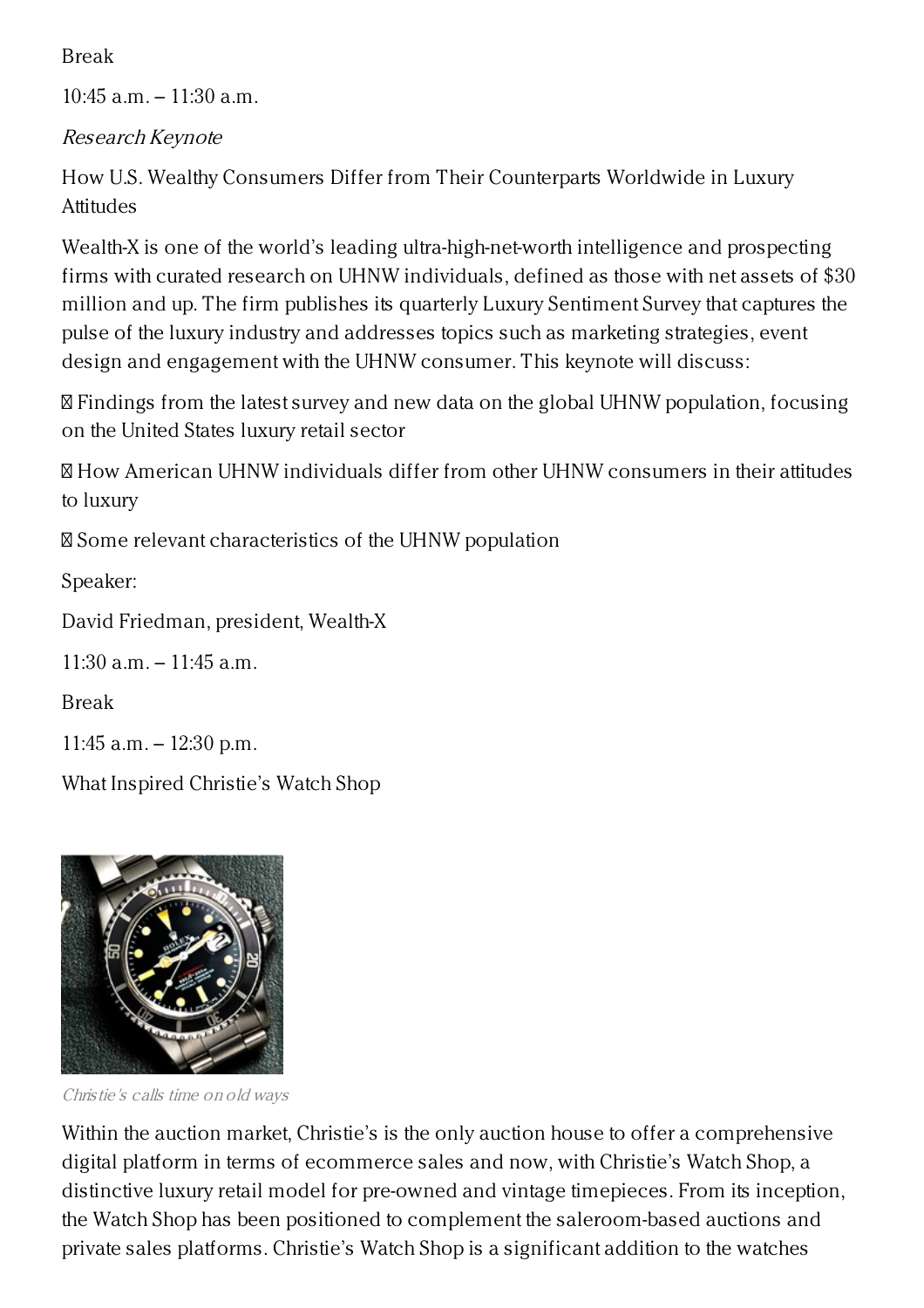Break

10:45 a.m. – 11:30 a.m.

Research Keynote

How U.S. Wealthy Consumers Differ from Their Counterparts Worldwide in Luxury **Attitudes** 

Wealth-X is one of the world's leading ultra-high-net-worth intelligence and prospecting firms with curated research on UHNW individuals, defined as those with net assets of \$30 million and up. The firm publishes its quarterly Luxury Sentiment Survey that captures the pulse of the luxury industry and addresses topics such as marketing strategies, event design and engagement with the UHNW consumer. This keynote will discuss:

 Findings from the latest survey and new data on the global UHNW population, focusing on the United States luxury retail sector

 How American UHNW individuals differ from other UHNW consumers in their attitudes to luxury

Some relevant characteristics of the UHNW population

Speaker:

David Friedman, president, Wealth-X

11:30 a.m. – 11:45 a.m.

Break

11:45 a.m. – 12:30 p.m.

What Inspired Christie's Watch Shop



Christie's calls time on old ways

Within the auction market, Christie's is the only auction house to offer a comprehensive digital platform in terms of ecommerce sales and now, with Christie's Watch Shop, a distinctive luxury retail model for pre-owned and vintage timepieces. From its inception, the Watch Shop has been positioned to complement the saleroom-based auctions and private sales platforms. Christie's Watch Shop is a significant addition to the watches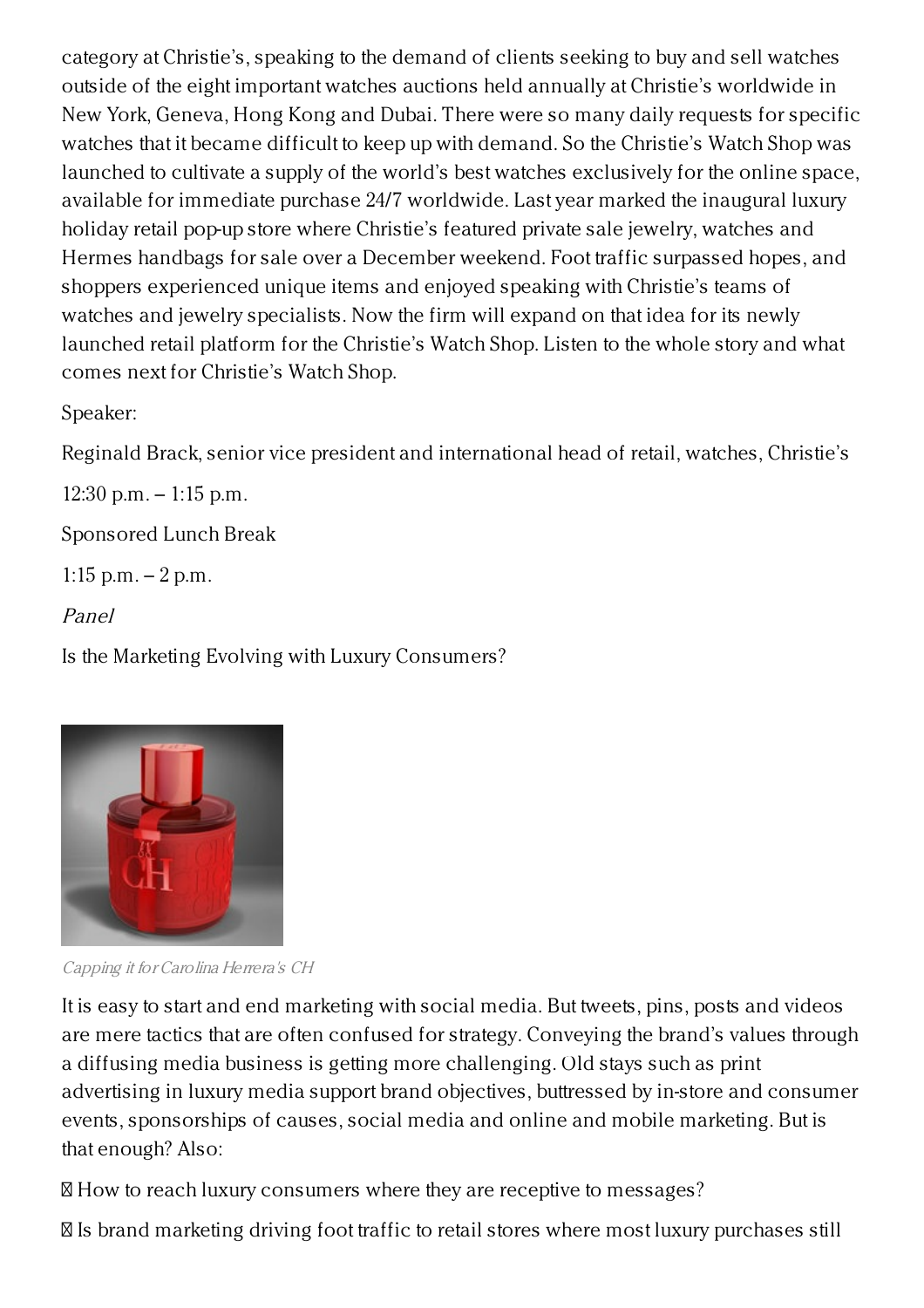category at Christie's, speaking to the demand of clients seeking to buy and sell watches outside of the eight important watches auctions held annually at Christie's worldwide in New York, Geneva, Hong Kong and Dubai. There were so many daily requests for specific watches that it became difficult to keep up with demand. So the Christie's Watch Shop was launched to cultivate a supply of the world's best watches exclusively for the online space, available for immediate purchase 24/7 worldwide. Last year marked the inaugural luxury holiday retail pop-up store where Christie's featured private sale jewelry, watches and Hermes handbags for sale over a December weekend. Foot traffic surpassed hopes, and shoppers experienced unique items and enjoyed speaking with Christie's teams of watches and jewelry specialists. Now the firm will expand on that idea for its newly launched retail platform for the Christie's Watch Shop. Listen to the whole story and what comes next for Christie's Watch Shop.

Speaker:

Reginald Brack, senior vice president and international head of retail, watches, Christie's

12:30 p.m. – 1:15 p.m.

Sponsored Lunch Break

1:15 p.m. – 2 p.m.

Panel

Is the Marketing Evolving with Luxury Consumers?



Capping it for Carolina Herrera's CH

It is easy to start and end marketing with social media. But tweets, pins, posts and videos are mere tactics that are often confused for strategy. Conveying the brand's values through a diffusing media business is getting more challenging. Old stays such as print advertising in luxury media support brand objectives, buttressed by in-store and consumer events, sponsorships of causes, social media and online and mobile marketing. But is that enough? Also:

How to reach luxury consumers where they are receptive to messages?

Is brand marketing driving foot traffic to retail stores where most luxury purchases still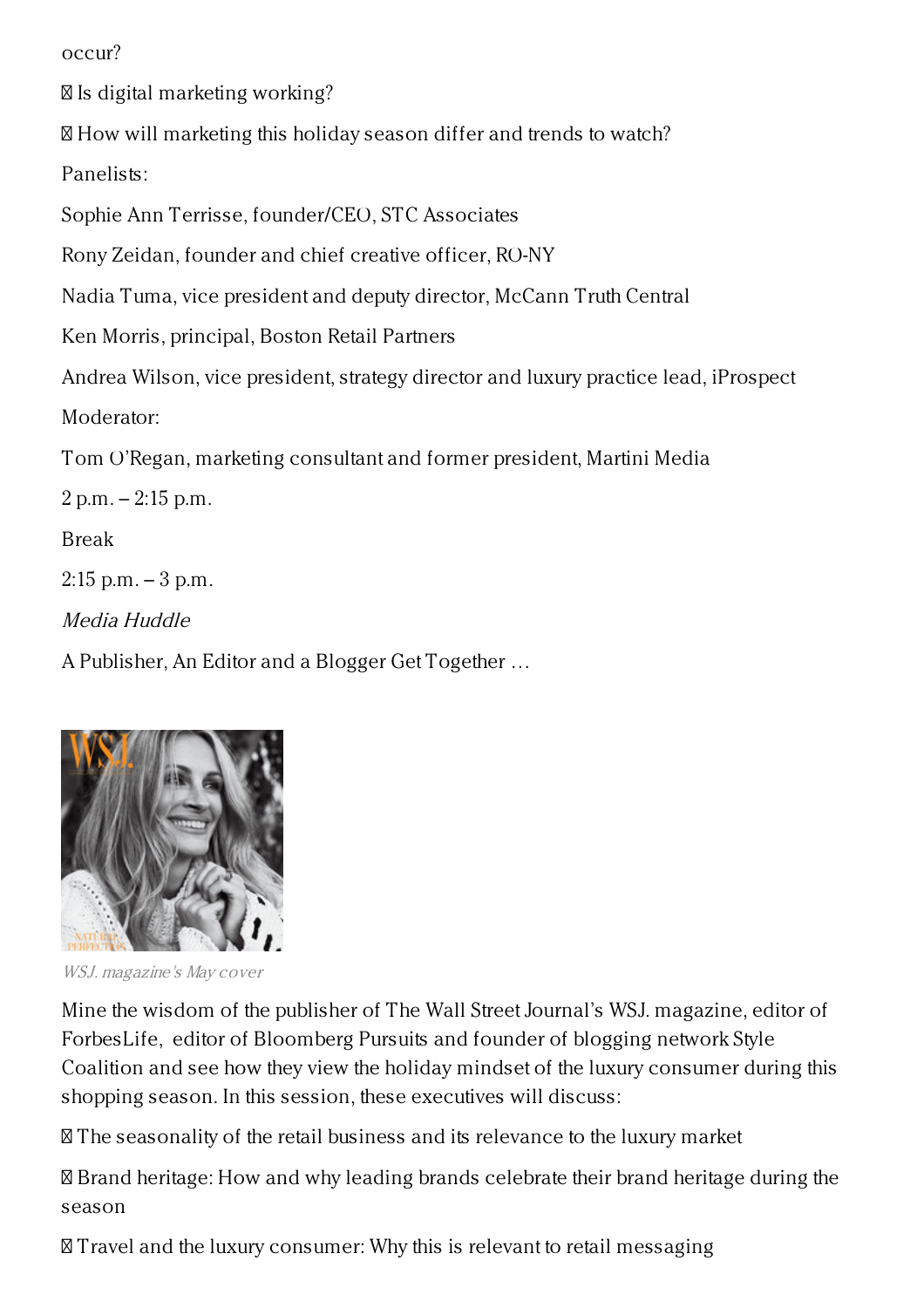occur?

Is digital marketing working?

How will marketing this holiday season differ and trends to watch?

Panelists:

Sophie Ann Terrisse, founder/CEO, STC Associates

Rony Zeidan, founder and chief creative officer, RO-NY

Nadia Tuma, vice president and deputy director, McCann Truth Central

Ken Morris, principal, Boston Retail Partners

Andrea Wilson, vice president, strategy director and luxury practice lead, iProspect Moderator:

Tom O'Regan, marketing consultant and former president, Martini Media

2 p.m. – 2:15 p.m.

Break

 $2:15$  p.m.  $-3$  p.m.

Media Huddle

A Publisher, An Editor and a Blogger Get Together …



WSJ. magazine's May cover

Mine the wisdom of the publisher of The Wall Street Journal's WSJ. magazine, editor of ForbesLife, editor of Bloomberg Pursuits and founder of blogging network Style Coalition and see how they view the holiday mindset of the luxury consumer during this shopping season. In this session, these executives will discuss:

The seasonality of the retail business and its relevance to the luxury market

 Brand heritage: How and why leading brands celebrate their brand heritage during the season

Travel and the luxury consumer: Why this is relevant to retail messaging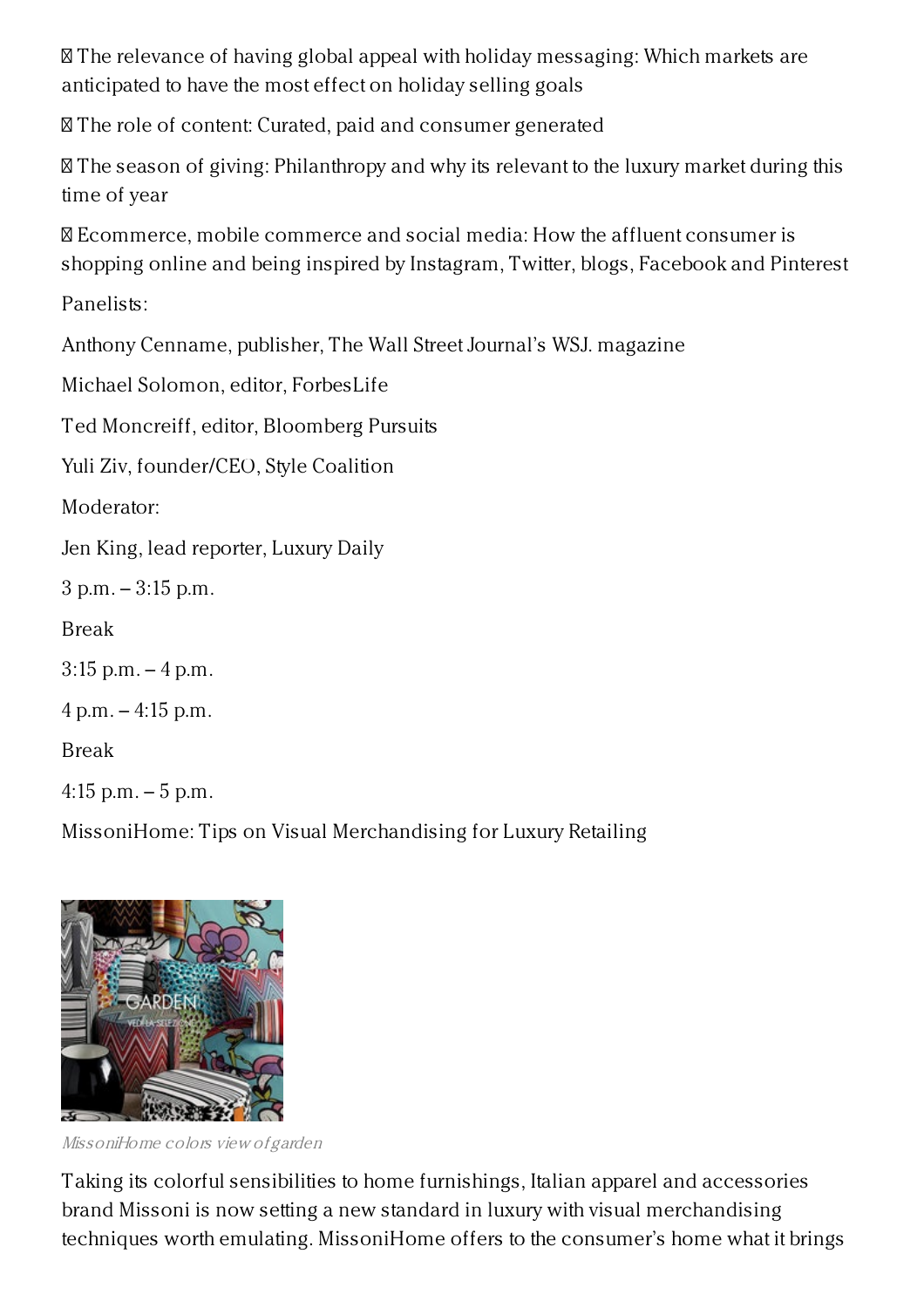The relevance of having global appeal with holiday messaging: Which markets are anticipated to have the most effect on holiday selling goals

The role of content: Curated, paid and consumer generated

 The season of giving: Philanthropy and why its relevant to the luxury market during this time of year

 Ecommerce, mobile commerce and social media: How the affluent consumer is shopping online and being inspired by Instagram, Twitter, blogs, Facebook and Pinterest

Panelists:

Anthony Cenname, publisher, The Wall Street Journal's WSJ. magazine

Michael Solomon, editor, ForbesLife

Ted Moncreiff, editor, Bloomberg Pursuits

Yuli Ziv, founder/CEO, Style Coalition

Moderator:

Jen King, lead reporter, Luxury Daily

3 p.m. – 3:15 p.m.

Break

3:15 p.m. – 4 p.m.

 $4 p.m. - 4:15 p.m.$ 

Break

 $4:15$  p.m.  $-5$  p.m.

MissoniHome: Tips on Visual Merchandising for Luxury Retailing



MissoniHome colors view of garden

Taking its colorful sensibilities to home furnishings, Italian apparel and accessories brand Missoni is now setting a new standard in luxury with visual merchandising techniques worth emulating. MissoniHome offers to the consumer's home what it brings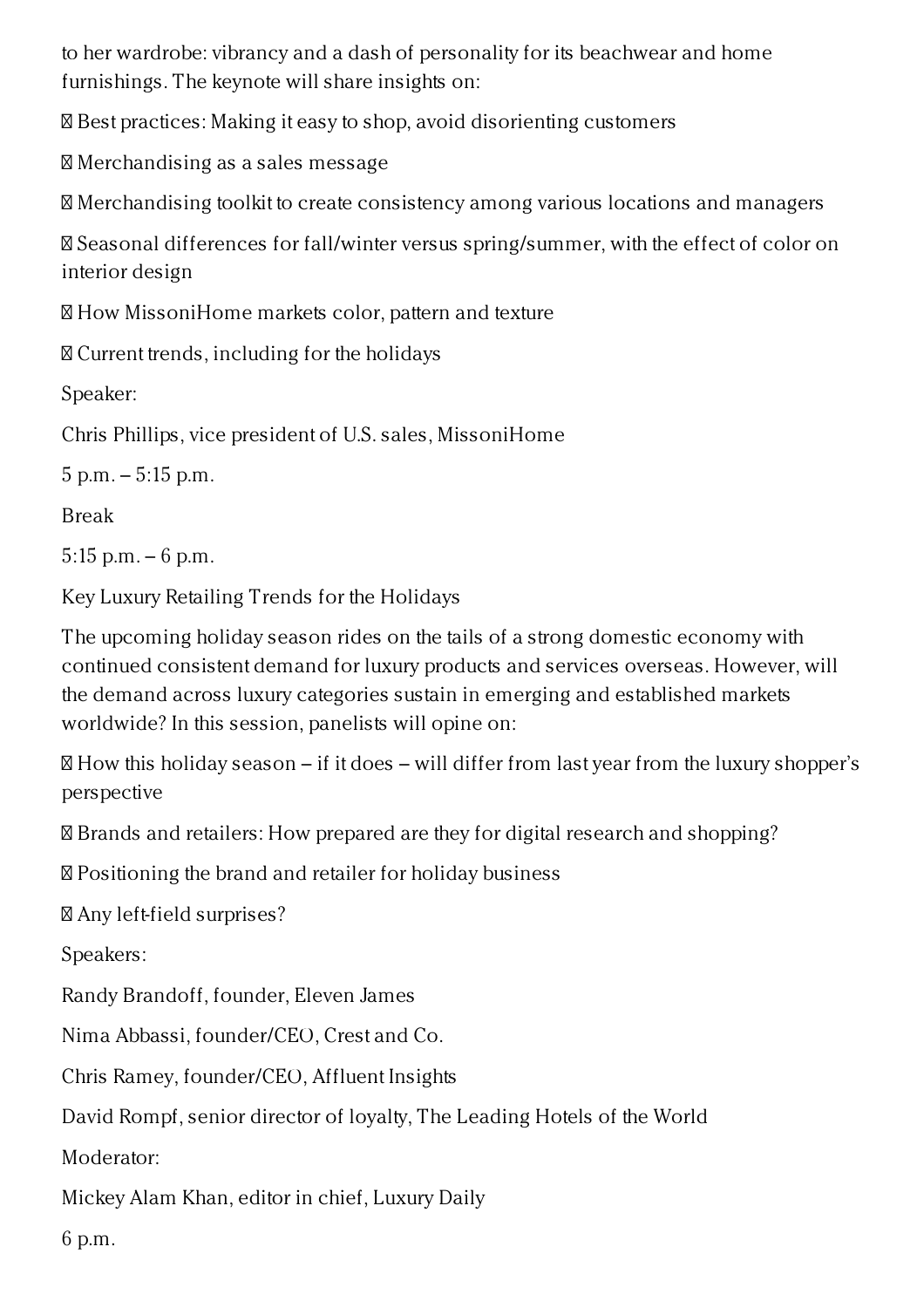to her wardrobe: vibrancy and a dash of personality for its beachwear and home furnishings. The keynote will share insights on:

Best practices: Making it easy to shop, avoid disorienting customers

Merchandising as a sales message

Merchandising toolkit to create consistency among various locations and managers

 Seasonal differences for fall/winter versus spring/summer, with the effect of color on interior design

How MissoniHome markets color, pattern and texture

Current trends, including for the holidays

Speaker:

Chris Phillips, vice president of U.S. sales, MissoniHome

5 p.m. – 5:15 p.m.

Break

5:15 p.m. – 6 p.m.

Key Luxury Retailing Trends for the Holidays

The upcoming holiday season rides on the tails of a strong domestic economy with continued consistent demand for luxury products and services overseas. However, will the demand across luxury categories sustain in emerging and established markets worldwide? In this session, panelists will opine on:

 $\mathbb B$  How this holiday season – if it does – will differ from last year from the luxury shopper's perspective

Brands and retailers: How prepared are they for digital research and shopping?

Positioning the brand and retailer for holiday business

Any left-field surprises?

Speakers:

Randy Brandoff, founder, Eleven James

Nima Abbassi, founder/CEO, Crest and Co.

Chris Ramey, founder/CEO, Affluent Insights

David Rompf, senior director of loyalty, The Leading Hotels of the World

Moderator:

Mickey Alam Khan, editor in chief, Luxury Daily

6 p.m.